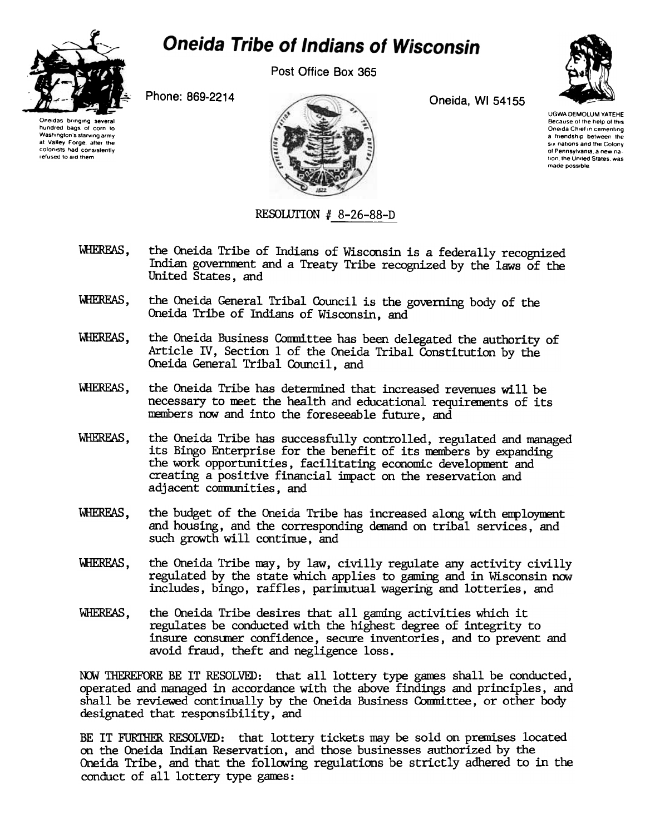

## **Oneida Tribe of Indians of Wisconsin**

Post Office Box 365

Phone: 869-2214 Oneida, WI 54155



UGWA DEMOLUM YATEHE Because of the help of this Oneida Chief in cementing a friendship between the six nations and the Colony ot Pennsylvania. a new nalion the United Slates was made possible

Oneidas bringing several hundred bags of corn to Washington's starving army at Valley Forge after the colonists had consistently

refused to aid them

RESOLUTION  $#$  8-26-88-D

- WHEREAS, the Oneida Tribe of Indians of Wisconsin is a federally recognized Indian govemnent and a Treaty Tribe recognized by the laws of the United States, and
- WHEREAS, the Oneida General Tribal Council is the governing body of the Oneida Tribe of Indians of Wisconsin, and
- WHEREAS, the Oneida Business Committee has been delegated the authority of Article IV, Section 1 of the Oneida Tribal Constitution by the Oneida General Tribal Council, and
- WHEREAS, the Oneida Tribe has determined that increased revenues will be necessary to meet the health and educational requirements of its members now and into the foreseeable future, and
- WHEREAS, the Oneida Tribe has successfully controlled, regulated and managed its Bingo Enterprise for the benefit of its nenbers by expanding the work opporttmities, facilitating economic developnent and creating a positive financial impact on the reservation and adjacent communities, and
- WHEREAS, the budget of the Oneida Tribe has increased along with employment and housing, and the corresponding demand on tribal services, and such growth will continue, and
- WHEREAS, the Oneida Tribe may, by law, civilly regulate any activity civilly regulated by the state which applies to gaming and in Wisconsin now includes, bingo, raffles, parimutual wagering and lotteries, and
- WHEREAS, the Oneida Tribe desires that all gaming activities which it regulates be conducted with the highest degree of integrity to insure conswer confidence, secure inventories, and to prevent and avoid fraud, theft and negligence loss.

NOW THEREFORE BE IT RESOLVED: that all lottery type games shall be conducted, operated and managed in accordance with the above findings and principles, and shall be reviewed continually by the Oneida Business Conmittee, or other body designated that responsibility, and

BE IT FURIHER RESOLVED: that lottery tickets may be sold on pranises located on the Oneida Indian Reservation, and those businesses authorized by the Oneida Tribe, and that the following regulations be strictly adhered to in the conduct of all lottery type ganes:

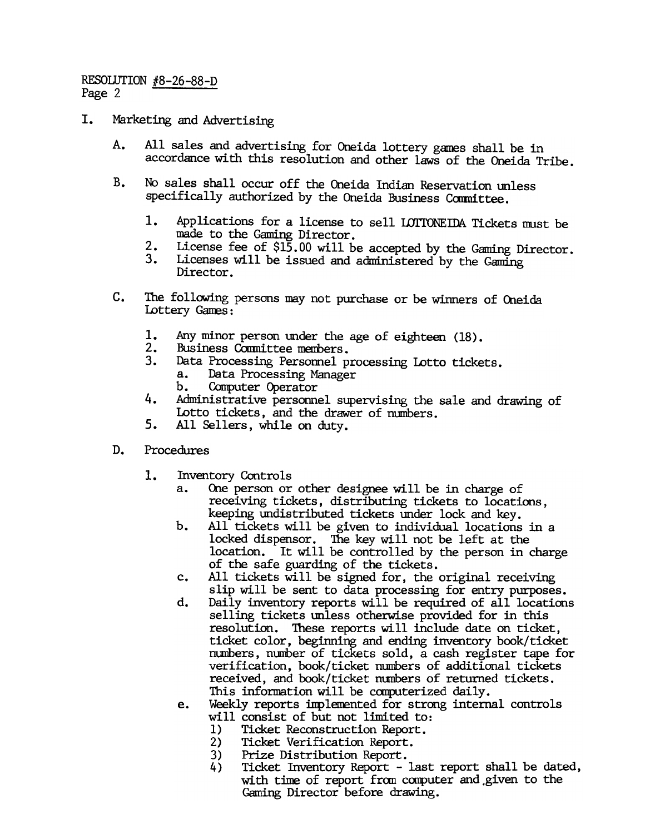## RESOLUTION #8-26-88-D Page 2

- I. Marketing and Advertising
	- A. All sales and advertising for Oneida lottery games shall be in accordance with this resolution and other laws of the Oneida Tribe.
	- B. No sales shall occur off the Oneida Indian Reservation unless specifically authorized by the Oneida Business Committee.
		- 1. Applications for a license to sell LOTTONEIDA Tickets must be made to the Gaming Director.
		- $\frac{2}{3}$ . License fee of \$15.00 will be accepted by the Gaming Director.
		- Licenses will be issued and administered by the Gaming Director.
	- C. The following persons may not purchase or be winners of Oneida Lottery Ganes:
		-
		- 2. Business Committee members.
		- 3. Data Processing Personnel processing Lotto tickets. a. Data Processing Manager
			- b. Computer Operator
		- Administrative personnel supervising the sale and drawing of Lotto tickets, and the drawer of numbers.
		- All Sellers, while on duty.
	- Procedures
		- Inventory Controls
			- a. One person or other designee will be in charge of receiving tickets, distributing tickets to locations, keeping undistributed tickets under lock and key.
			- b. All tickets will be given to individual locations in a locked dispensor. The key will not be left at the location. It will be controlled by the person in charge of the safe guarding of the tidkets.
			- c. All tickets will be signed for, the original receiving slip will be sent to data processing for entry purposes.
- 1. Any minor person under the age of eighteen (18)<br>
2. Rusiness Committee members.<br>
3. Data Processing Personnel processing Lotto tick<br>
a. Data Processing Personnel processing Lotto tick<br>
4. Administrative personnel superv d. Daily inventory reports will be required of all locations selling tickets unless otherwise provided for in this resolution. These reports will include date on ticket, tidket color, beginning and ending inventory book/tidket numbers, number of tickets sold, a cash register tape for verification, book/ticket numbers of additional tickets received, and book/ticket numbers of returned tickets. This information will be computerized daily.
	- e. Weekly reports inplenented for strong internal controls will consist of but not limited to:
		- 1) Tidket Reconstruction Report.
		- 2) Ticket Verification Report.
		- 3) Prize Distribution Report.
		- 4) Ticket Inventory Report last report shall be dated, with time of report from computer and given to the Gaming Director before drawing.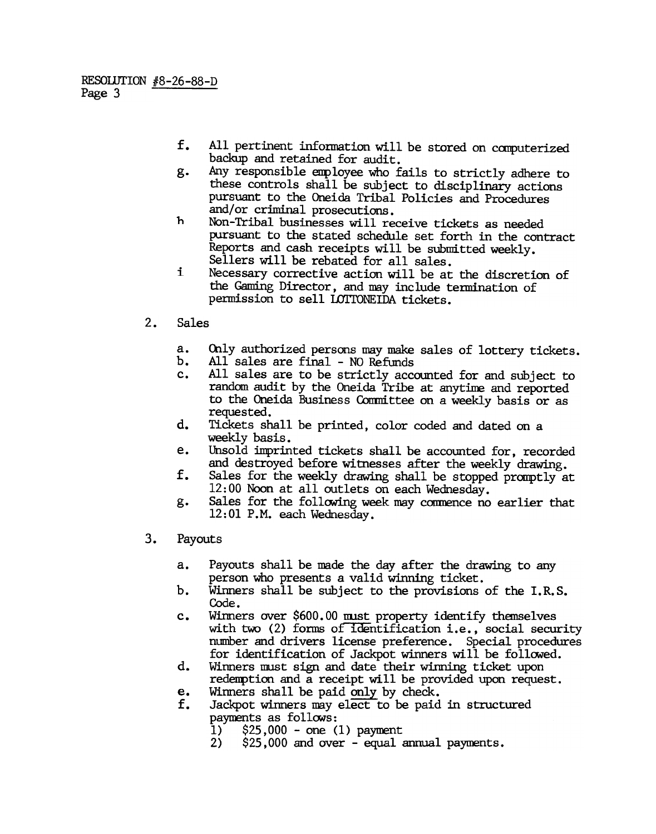- f. All pertinent information will be stored on computerized backup and retained for audit.
- g. Any responsible employee who fails to strictly adhere to these controls shall be subject to disciplinary actions pursuant to the Oneida Tribal Policies and Procedures and/or criminal prosecutions.
- h Non-Tribal businesses will receive tickets as needed pursuant to the stated schedule set forth in the contract Reports and cash receipts will be submitted weekly. Sellers will be rebated for all sales.
- i Necessary corrective action will be at the discretion of the Gaming Director, and may include termination of permission to sell LOTTONEIDA tickets.
- 2. Sales
	- Only authorized persons may make sales of lottery tickets.  $a<sub>z</sub>$
	- $b<sub>r</sub>$ All sales are final - NO Refunds
	- All sales are to be strictly accounted for and subject to  $c_{\cdot}$ random audit by the Oneida Tribe at anytine and reported to the Oneida Business Committee on a weekly basis or as requested.
	- d. Tidkets shall be printed, color coded and dated on a weekly basis.
	- Unsold imprinted tidkets shall be accounted for, recorded e. and destroyed before witnesses after the weekly drawing.
	- f. Sales for the weekly drawing shall be stopped promptly at 12: 00 Nbon at all outlets on eadh Wednesday.
	- Sales for the following week may commence no earlier that  $g_{\bullet}$ 12:01 P.M. each Wednesday.
- 3. Payouts
	- a. Payouts shall be made the day after the drawing to any person who presents a valid winning ticket.
	- b. Winners shall be subject to the provisions of the I.R.S. Code.
	- Winners over \$600.00 must property identify themselves  $c_{\bullet}$ with two (2) forms of identification i.e., social security number and drivers license preference. Special procedures for identification of Jackpot winners will be followed.
	- d. Winners must sign and date their winning ticket upon redenption and a receipt will be provided upon request.
	- e.<br>f. Winners shall be paid only by check.
	- Jackpot winners may elect to be paid in structured paynents as fo11ONs:
		- 1)  $$25,000 one (1) payment$
		- 2) \$25,000 and over -equal annual payments.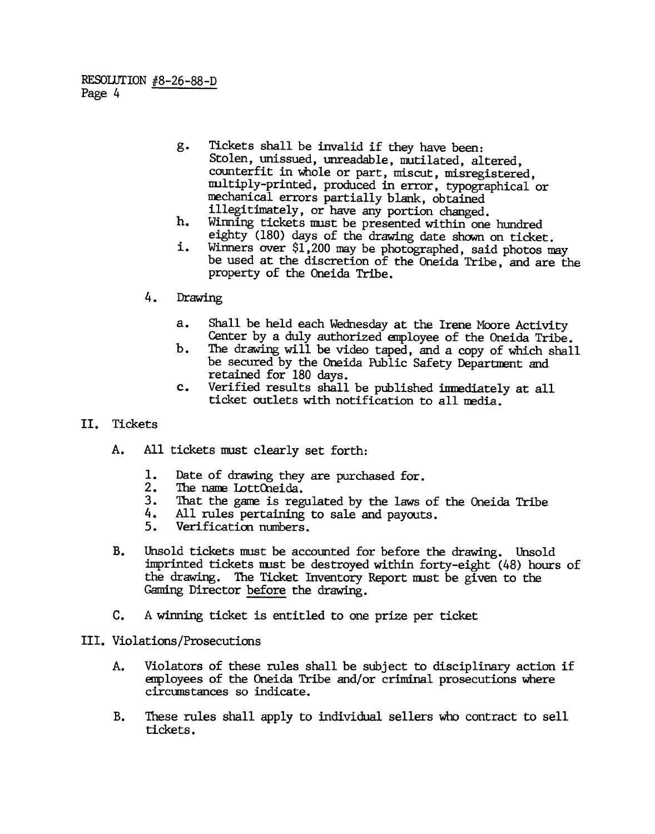- g. Tickets shall be invalid if they have been: Stolen, unissued, unreadable, mutilated, altered, counterfit in Whole or part, miscut, misregistered, nultiply-printed, produced in error, typographical or mechanical errors partially blank, obtained illegitimately, or have any portion changed.
- h. Winning tickets must be presented within one hundred eighty  $(180)$  days of the drawing date shown on ticket.
- Winners over \$1,200 may be photographed, said photos may i. be used at the discretion of the Oneida Tribe, and are the property of the Oneida Tribe.
- - Shall be held each Wednesday at the Irene Moore Activity Center by a duly authorized enployee of the Oneida Tribe.
	- The drawing will be video taped, and a copy of which shall be secured by the Oneida Public Safety Department and retained for 180 days.
	- Verified results shall be published immediately at all ticket outlets with notification to all media.
- II. Tickets
	- A. All tickets must clearly set forth:
		- Date of drawing they are purchased for.
		- The name LottOneida.
		- 3. That the game is regulated by the laws of the Oneida Tribe
		- 4. All rules pertaining to sale and payouts.
		- 5. Verification numbers.
- 4. Drawing<br>
a. Sh<br>
Cer<br>
b. The Cer<br>
b. The response of the cer<br>
c. Ver<br>
tid be cer<br>
c. We tid<br>
cer<br>
1. Date of<br>
2. The nam<br>
3. That the drawing.<br>
4. All rule<br>
5. Verific<br>
B. Unsold ticket<br>
imprinted tide drawing.<br>
Caming D b.<br>
c.<br>
c.<br>
C.<br>
L. Dad<br>
2. The 1. Dad<br>
2. The 4. All<br>
5. We<br>
B. Unsold imprint<br>
the drag<br>
Gaming<br>
C. A winni<br>
III. Violations/F<br>
A. Violations/F<br>
A. Violations/F<br>
A. Violations/F<br>
B. These r<br>
includes 1.2. B. Unsold tickets must be accounted for before the drawing. Unsold imprinted tickets must be destroyed within forty-eight (48) hours of the drawing. The Ticket Inventory Report must be given to the Gaming Director before the drawing.
	- c. A winning ticket is entitled to one prize per ticket
	- III. Violations/Prosecutions
		- Violators of these rules shall be subject to disciplinary action if anployees of the Oneida Tribe and/or criminal prosecutions where circunstances so indicate. A.
		- These rules shall apply to individual sellers who contract to sell tickets. B.